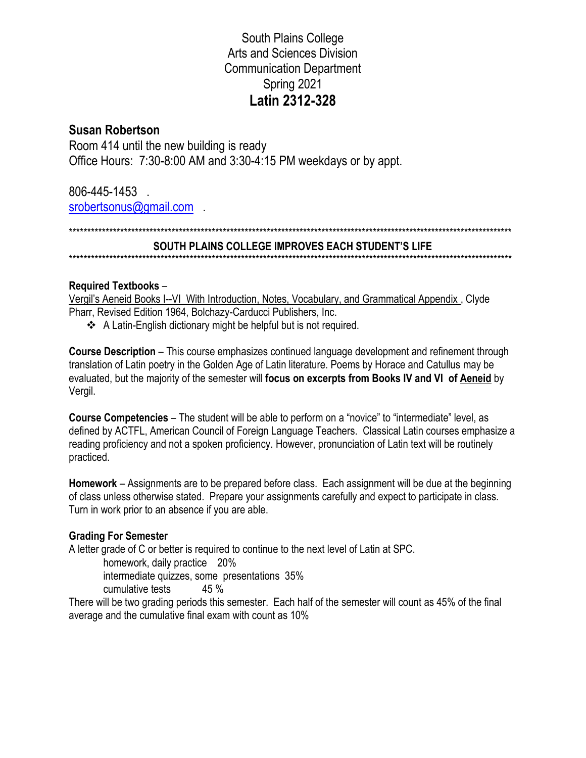# **South Plains College** Arts and Sciences Division **Communication Department** Spring 2021 Latin 2312-328

# **Susan Robertson**

Room 414 until the new building is ready Office Hours: 7:30-8:00 AM and 3:30-4:15 PM weekdays or by appt.

806-445-1453. srobertsonus@gmail.com

### SOUTH PLAINS COLLEGE IMPROVES EACH STUDENT'S LIFE

### **Required Textbooks -**

Vergil's Aeneid Books I--VI With Introduction, Notes, Vocabulary, and Grammatical Appendix, Clyde Pharr, Revised Edition 1964, Bolchazy-Carducci Publishers, Inc.

❖ A Latin-English dictionary might be helpful but is not required.

**Course Description** – This course emphasizes continued language development and refinement through translation of Latin poetry in the Golden Age of Latin literature. Poems by Horace and Catullus may be evaluated, but the majority of the semester will focus on excerpts from Books IV and VI of Aeneid by Vergil.

**Course Competencies** – The student will be able to perform on a "novice" to "intermediate" level, as defined by ACTFL, American Council of Foreign Language Teachers. Classical Latin courses emphasize a reading proficiency and not a spoken proficiency. However, pronunciation of Latin text will be routinely practiced.

Homework – Assignments are to be prepared before class. Each assignment will be due at the beginning of class unless otherwise stated. Prepare your assignments carefully and expect to participate in class. Turn in work prior to an absence if you are able.

## **Grading For Semester**

A letter grade of C or better is required to continue to the next level of Latin at SPC.

homework, daily practice 20%

intermediate quizzes, some presentations 35%

cumulative tests  $45 \%$ 

There will be two grading periods this semester. Each half of the semester will count as 45% of the final average and the cumulative final exam with count as 10%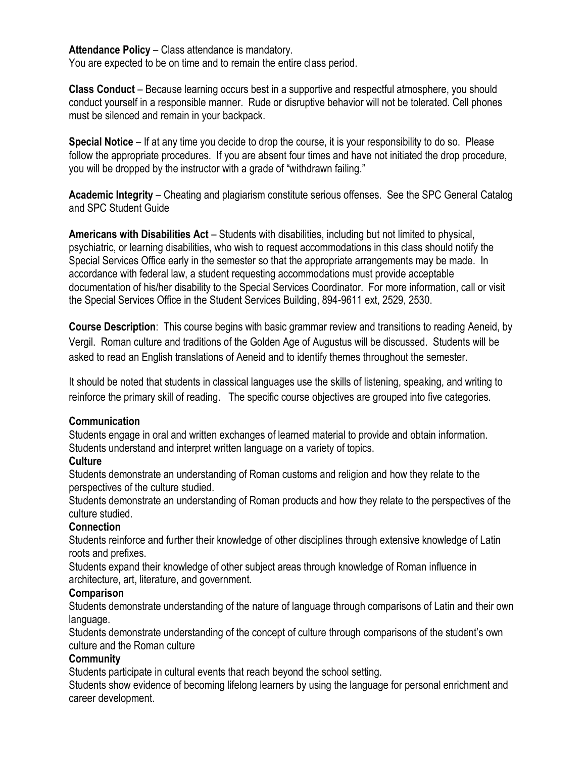Attendance Policy - Class attendance is mandatory. You are expected to be on time and to remain the entire class period.

**Class Conduct** – Because learning occurs best in a supportive and respectful atmosphere, you should conduct yourself in a responsible manner. Rude or disruptive behavior will not be tolerated. Cell phones must be silenced and remain in your backpack.

**Special Notice** – If at any time you decide to drop the course, it is your responsibility to do so. Please follow the appropriate procedures. If you are absent four times and have not initiated the drop procedure, you will be dropped by the instructor with a grade of "withdrawn failing."

**Academic Integrity** – Cheating and plagiarism constitute serious offenses. See the SPC General Catalog and SPC Student Guide

**Americans with Disabilities Act** – Students with disabilities, including but not limited to physical, psychiatric, or learning disabilities, who wish to request accommodations in this class should notify the Special Services Office early in the semester so that the appropriate arrangements may be made. In accordance with federal law, a student requesting accommodations must provide acceptable documentation of his/her disability to the Special Services Coordinator. For more information, call or visit the Special Services Office in the Student Services Building, 894-9611 ext, 2529, 2530.

**Course Description**: This course begins with basic grammar review and transitions to reading Aeneid, by Vergil. Roman culture and traditions of the Golden Age of Augustus will be discussed. Students will be asked to read an English translations of Aeneid and to identify themes throughout the semester.

It should be noted that students in classical languages use the skills of listening, speaking, and writing to reinforce the primary skill of reading. The specific course objectives are grouped into five categories.

#### **Communication**

Students engage in oral and written exchanges of learned material to provide and obtain information. Students understand and interpret written language on a variety of topics.

#### **Culture**

Students demonstrate an understanding of Roman customs and religion and how they relate to the perspectives of the culture studied.

Students demonstrate an understanding of Roman products and how they relate to the perspectives of the culture studied.

#### **Connection**

Students reinforce and further their knowledge of other disciplines through extensive knowledge of Latin roots and prefixes.

Students expand their knowledge of other subject areas through knowledge of Roman influence in architecture, art, literature, and government.

#### **Comparison**

Students demonstrate understanding of the nature of language through comparisons of Latin and their own language.

Students demonstrate understanding of the concept of culture through comparisons of the student's own culture and the Roman culture

## **Community**

Students participate in cultural events that reach beyond the school setting.

Students show evidence of becoming lifelong learners by using the language for personal enrichment and career development.